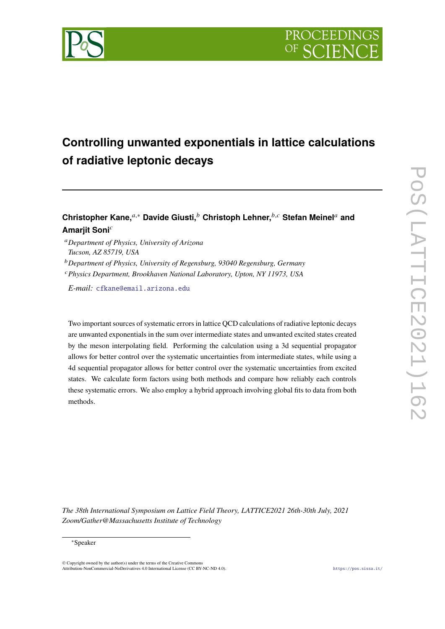# **Controlling unwanted exponentials in lattice calculations of radiative leptonic decays**

## **Christopher Kane,**𝑎,<sup>∗</sup> **Davide Giusti,**<sup>𝑏</sup> **Christoph Lehner,**𝑏,𝑐 **Stefan Meinel**<sup>𝑎</sup> **and Amarjit Soni**<sup>c</sup>

- <sup>𝑎</sup>*Department of Physics, University of Arizona Tucson, AZ 85719, USA*
- <sup>𝑏</sup>*Department of Physics, University of Regensburg, 93040 Regensburg, Germany*
- <sup>𝑐</sup>*Physics Department, Brookhaven National Laboratory, Upton, NY 11973, USA*

*E-mail:* [cfkane@email.arizona.edu](mailto:cfkane@email.arizona.edu)

Two important sources of systematic errors in lattice QCD calculations of radiative leptonic decays are unwanted exponentials in the sum over intermediate states and unwanted excited states created by the meson interpolating field. Performing the calculation using a 3d sequential propagator allows for better control over the systematic uncertainties from intermediate states, while using a 4d sequential propagator allows for better control over the systematic uncertainties from excited states. We calculate form factors using both methods and compare how reliably each controls these systematic errors. We also employ a hybrid approach involving global fits to data from both methods.

*The 38th International Symposium on Lattice Field Theory, LATTICE2021 26th-30th July, 2021 Zoom/Gather@Massachusetts Institute of Technology*

#### <sup>∗</sup>Speaker

 $\odot$  Copyright owned by the author(s) under the terms of the Creative Common Attribution-NonCommercial-NoDerivatives 4.0 International License (CC BY-NC-ND 4.0). <https://pos.sissa.it/>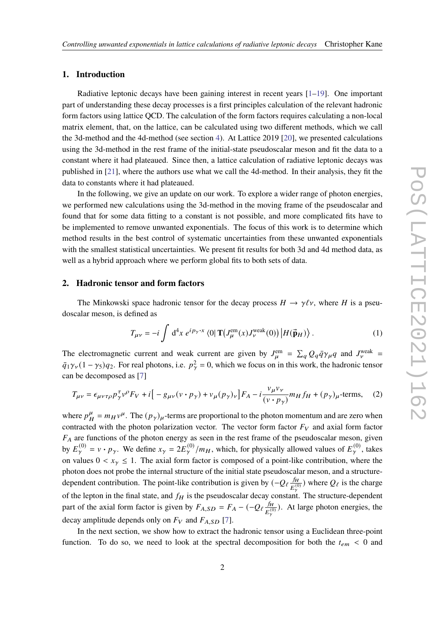#### **1. Introduction**

Radiative leptonic decays have been gaining interest in recent years [\[1](#page-8-0)[–19\]](#page-9-0). One important part of understanding these decay processes is a first principles calculation of the relevant hadronic form factors using lattice QCD. The calculation of the form factors requires calculating a non-local matrix element, that, on the lattice, can be calculated using two different methods, which we call the 3d-method and the 4d-method (see section [4\)](#page-3-0). At Lattice 2019 [\[20\]](#page-9-1), we presented calculations using the 3d-method in the rest frame of the initial-state pseudoscalar meson and fit the data to a constant where it had plateaued. Since then, a lattice calculation of radiative leptonic decays was published in [\[21\]](#page-9-2), where the authors use what we call the 4d-method. In their analysis, they fit the data to constants where it had plateaued.

In the following, we give an update on our work. To explore a wider range of photon energies, we performed new calculations using the 3d-method in the moving frame of the pseudoscalar and found that for some data fitting to a constant is not possible, and more complicated fits have to be implemented to remove unwanted exponentials. The focus of this work is to determine which method results in the best control of systematic uncertainties from these unwanted exponentials with the smallest statistical uncertainties. We present fit results for both 3d and 4d method data, as well as a hybrid approach where we perform global fits to both sets of data.

#### **2. Hadronic tensor and form factors**

The Minkowski space hadronic tensor for the decay process  $H \to \gamma \ell \nu$ , where H is a pseudoscalar meson, is defined as

$$
T_{\mu\nu} = -i \int d^4x \ e^{ip_{\gamma} \cdot x} \langle 0| \mathbf{T} \left( J_{\mu}^{\text{em}}(x) J_{\nu}^{\text{weak}}(0) \right) \left| H(\vec{\mathbf{p}}_H) \right\rangle. \tag{1}
$$

The electromagnetic current and weak current are given by  $J_{\mu}^{\text{em}} = \sum_{q} Q_q \bar{q} \gamma_{\mu} q$  and  $J_{\nu}^{\text{weak}} =$  $\bar{q}_1\gamma_v(1-\gamma_5)q_2$ . For real photons, i.e.  $p_\gamma^2 = 0$ , which we focus on in this work, the hadronic tensor can be decomposed as [\[7\]](#page-9-3)

$$
T_{\mu\nu} = \epsilon_{\mu\nu\tau\rho} p_{\gamma}^{\tau} v^{\rho} F_V + i \left[ -g_{\mu\nu} (v \cdot p_{\gamma}) + v_{\mu} (p_{\gamma})_{\nu} \right] F_A - i \frac{v_{\mu} v_{\nu}}{(v \cdot p_{\gamma})} m_H f_H + (p_{\gamma})_{\mu}
$$
-terms, (2)

where  $p_{\overline{B}}^{\mu}$  $_{H}^{\mu}$  =  $m_H v^{\mu}$ . The  $(p_{\gamma})_{\mu}$ -terms are proportional to the photon momentum and are zero when contracted with the photon polarization vector. The vector form factor  $F_V$  and axial form factor  $F_A$  are functions of the photon energy as seen in the rest frame of the pseudoscalar meson, given by  $E_{\gamma}^{(0)} = v \cdot p_{\gamma}$ . We define  $x_{\gamma} = 2E_{\gamma}^{(0)}/m_H$ , which, for physically allowed values of  $E_{\gamma}^{(0)}$ , takes on values  $0 < x_{\gamma} \le 1$ . The axial form factor is composed of a point-like contribution, where the photon does not probe the internal structure of the initial state pseudoscalar meson, and a structuredependent contribution. The point-like contribution is given by  $(-Q_t \frac{f_H}{R})$  $\frac{f_H}{E_{\gamma}^{(0)}}$ ) where  $Q_{\ell}$  is the charge of the lepton in the final state, and  $f_H$  is the pseudoscalar decay constant. The structure-dependent part of the axial form factor is given by  $F_{A,SD} = F_A - (-Q_t) \frac{f_H}{r^{(0)}}$  $\frac{JH}{E_{\gamma}^{(0)}}$ ). At large photon energies, the decay amplitude depends only on  $F_V$  and  $F_{A,SD}$  [\[7\]](#page-9-3).

In the next section, we show how to extract the hadronic tensor using a Euclidean three-point function. To do so, we need to look at the spectral decomposition for both the  $t_{em}$  < 0 and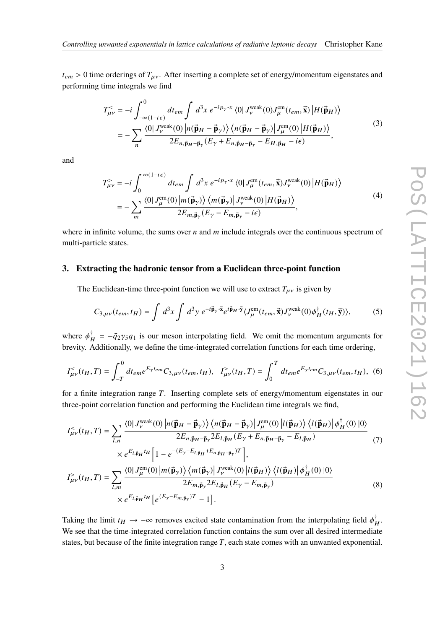$t_{em} > 0$  time orderings of  $T_{\mu\nu}$ . After inserting a complete set of energy/momentum eigenstates and performing time integrals we find

$$
T_{\mu\nu}^{\leq} = -i \int_{-\infty(1-i\epsilon)}^{0} dt_{em} \int d^{3}x \ e^{-ip_{\gamma} \cdot x} \langle 0 | J_{\nu}^{\text{weak}}(0) J_{\mu}^{\text{em}}(t_{em}, \vec{x}) | H(\vec{p}_{H}) \rangle
$$
  

$$
= -\sum_{n} \frac{\langle 0 | J_{\nu}^{\text{weak}}(0) | n(\vec{p}_{H} - \vec{p}_{\gamma}) \rangle \langle n(\vec{p}_{H} - \vec{p}_{\gamma}) | J_{\mu}^{\text{em}}(0) | H(\vec{p}_{H}) \rangle}{2E_{n, \vec{p}_{H} - \vec{p}_{\gamma}}(E_{\gamma} + E_{n, \vec{p}_{H} - \vec{p}_{\gamma}} - E_{H, \vec{p}_{H} - i\epsilon)}, \qquad (3)
$$

and

$$
T_{\mu\nu}^{\geq} = -i \int_0^{\infty (1 - i\epsilon)} dt_{em} \int d^3x \ e^{-i p_{\gamma} \cdot x} \langle 0 | J_{\mu}^{em}(t_{em}, \vec{x}) J_{\nu}^{weak}(0) | H(\vec{p}_H) \rangle
$$
  
= 
$$
- \sum_m \frac{\langle 0 | J_{\mu}^{em}(0) | m(\vec{p}_{\gamma}) \rangle \langle m(\vec{p}_{\gamma}) | J_{\nu}^{weak}(0) | H(\vec{p}_H) \rangle}{2E_{m,\vec{p}_{\gamma}}(E_{\gamma} - E_{m,\vec{p}_{\gamma}} - i\epsilon)},
$$
(4)

where in infinite volume, the sums over  $n$  and  $m$  include integrals over the continuous spectrum of multi-particle states.

#### **3. Extracting the hadronic tensor from a Euclidean three-point function**

The Euclidean-time three-point function we will use to extract  $T_{\mu\nu}$  is given by

<span id="page-2-0"></span>
$$
C_{3,\mu\nu}(t_{em},t_H) = \int d^3x \int d^3y \ e^{-i\vec{\mathbf{p}}_y \cdot \vec{\mathbf{x}}} e^{i\vec{\mathbf{p}}_H \cdot \vec{\mathbf{y}}} \langle J_{\mu}^{\text{em}}(t_{em}, \vec{\mathbf{x}}) J_{\nu}^{\text{weak}}(0) \phi_H^{\dagger}(t_H, \vec{\mathbf{y}}) \rangle, \tag{5}
$$

where  $\phi_{H}^{\dagger} = -\bar{q}_2 \gamma_5 q_1$  is our meson interpolating field. We omit the momentum arguments for brevity. Additionally, we define the time-integrated correlation functions for each time ordering,

$$
I_{\mu\nu}^{<}(t_{H},T) = \int_{-T}^{0} dt_{em} e^{E_{\gamma}t_{em}} C_{3,\mu\nu}(t_{em},t_{H}), \quad I_{\mu\nu}^{>}(t_{H},T) = \int_{0}^{T} dt_{em} e^{E_{\gamma}t_{em}} C_{3,\mu\nu}(t_{em},t_{H}), \tag{6}
$$

for a finite integration range  $T$ . Inserting complete sets of energy/momentum eigenstates in our three-point correlation function and performing the Euclidean time integrals we find,

$$
I_{\mu\nu}^{<}(t_{H},T) = \sum_{l,n} \frac{\langle 0|J_{\nu}^{\text{weak}}(0) |n(\vec{\mathbf{p}}_{H} - \vec{\mathbf{p}}_{\gamma}) \rangle \langle n(\vec{\mathbf{p}}_{H} - \vec{\mathbf{p}}_{\gamma}) |J_{\mu}^{\text{em}}(0) |l(\vec{\mathbf{p}}_{H}) \rangle \langle l(\vec{\mathbf{p}}_{H}) | \phi_{H}^{\dagger}(0) |0 \rangle}{2E_{n,\vec{\mathbf{p}}_{H} - \vec{\mathbf{p}}_{\gamma}} 2E_{l,\vec{\mathbf{p}}_{H}}(E_{\gamma} + E_{n,\vec{\mathbf{p}}_{H} - \vec{\mathbf{p}}_{\gamma}} - E_{l,\vec{\mathbf{p}}_{H}})} \times e^{E_{l,\vec{\mathbf{p}}_{H}t_{H}} \left[ 1 - e^{-(E_{\gamma} - E_{l,\vec{\mathbf{p}}_{H} + E_{n,\vec{\mathbf{p}}_{H} - \vec{\mathbf{p}}_{\gamma}})T} \right],}
$$
\n
$$
I_{\mu\nu}^{>}(t_{H},T) = \sum_{l,m} \frac{\langle 0|J_{\mu}^{\text{em}}(0) |m(\vec{\mathbf{p}}_{\gamma}) \rangle \langle m(\vec{\mathbf{p}}_{\gamma}) | J_{\nu}^{\text{weak}}(0) |l(\vec{\mathbf{p}}_{H}) \rangle \langle l(\vec{\mathbf{p}}_{H}) | \phi_{H}^{\dagger}(0) |0 \rangle}{2E_{m,\vec{\mathbf{p}}_{\gamma}} 2E_{l,\vec{\mathbf{p}}_{H}}(E_{\gamma} - E_{m,\vec{\mathbf{p}}_{\gamma}})} \times e^{E_{l,\vec{\mathbf{p}}_{H}t_{H}} \left[ e^{(E_{\gamma} - E_{m,\vec{\mathbf{p}}_{\gamma}})T} - 1 \right].}
$$
\n(8)

Taking the limit  $t_H \to -\infty$  removes excited state contamination from the interpolating field  $\phi_H^{\dagger}$ . We see that the time-integrated correlation function contains the sum over all desired intermediate states, but because of the finite integration range  $T$ , each state comes with an unwanted exponential.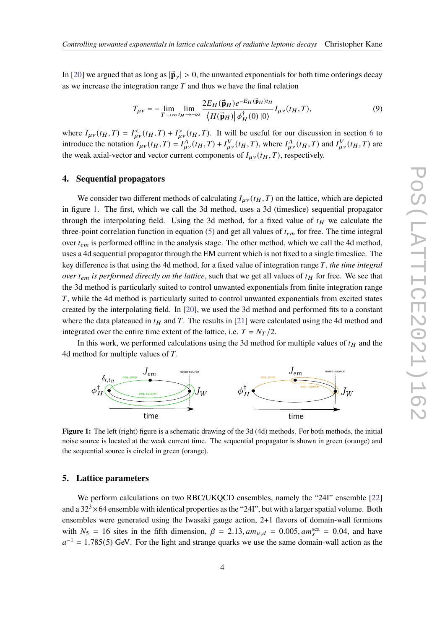In [\[20\]](#page-9-1) we argued that as long as  $|\vec{\mathbf{p}}_{\gamma}| > 0$ , the unwanted exponentials for both time orderings decay as we increase the integration range  $T$  and thus we have the final relation

$$
T_{\mu\nu} = -\lim_{T \to \infty} \lim_{t_H \to -\infty} \frac{2E_H(\vec{\mathbf{p}}_H)e^{-E_H(\vec{\mathbf{p}}_H)t_H}}{\langle H(\vec{\mathbf{p}}_H)| \phi_H^{\dagger}(0)|0\rangle} I_{\mu\nu}(t_H, T), \tag{9}
$$

where  $I_{\mu\nu}(t_H, T) = I_{\mu\nu}^<(t_H, T) + I_{\mu\nu}^>(t_H, T)$ . It will be useful for our discussion in section [6](#page-4-0) to introduce the notation  $I_{\mu\nu}(t_H, T) = I_{\mu\nu}^A(t_H, T) + I_{\mu\nu}^V(t_H, T)$ , where  $I_{\mu\nu}^A(t_H, T)$  and  $I_{\mu\nu}^V(t_H, T)$  are the weak axial-vector and vector current components of  $I_{\mu\nu}(t_H, T)$ , respectively.

#### <span id="page-3-0"></span>**4. Sequential propagators**

We consider two different methods of calculating  $I_{\mu\nu}(t_H, T)$  on the lattice, which are depicted in figure [1.](#page-3-1) The first, which we call the 3d method, uses a 3d (timeslice) sequential propagator through the interpolating field. Using the 3d method, for a fixed value of  $t_H$  we calculate the three-point correlation function in equation [\(5\)](#page-2-0) and get all values of  $t_{em}$  for free. The time integral over  $t_{em}$  is performed offline in the analysis stage. The other method, which we call the 4d method, uses a 4d sequential propagator through the EM current which is not fixed to a single timeslice. The key difference is that using the 4d method, for a fixed value of integration range T, the time integral *over*  $t_{em}$  is performed directly on the lattice, such that we get all values of  $t_H$  for free. We see that the 3d method is particularly suited to control unwanted exponentials from finite integration range T, while the 4d method is particularly suited to control unwanted exponentials from excited states created by the interpolating field. In [\[20\]](#page-9-1), we used the 3d method and performed fits to a constant where the data plateaued in  $t_H$  and T. The results in [\[21\]](#page-9-2) were calculated using the 4d method and integrated over the entire time extent of the lattice, i.e.  $T = N_T/2$ .

In this work, we performed calculations using the 3d method for multiple values of  $t_H$  and the 4d method for multiple values of  $T$ .

<span id="page-3-1"></span>

**Figure 1:** The left (right) figure is a schematic drawing of the 3d (4d) methods. For both methods, the initial noise source is located at the weak current time. The sequential propagator is shown in green (orange) and the sequential source is circled in green (orange).

#### **5. Lattice parameters**

We perform calculations on two RBC/UKQCD ensembles, namely the "24I" ensemble [\[22\]](#page-9-4) and a  $32<sup>3</sup> \times 64$  ensemble with identical properties as the "241", but with a larger spatial volume. Both ensembles were generated using the Iwasaki gauge action, 2+1 flavors of domain-wall fermions with  $N_5 = 16$  sites in the fifth dimension,  $\beta = 2.13$ ,  $am_{u,d} = 0.005$ ,  $am_s^{\text{sea}} = 0.04$ , and have  $a^{-1}$  = 1.785(5) GeV. For the light and strange quarks we use the same domain-wall action as the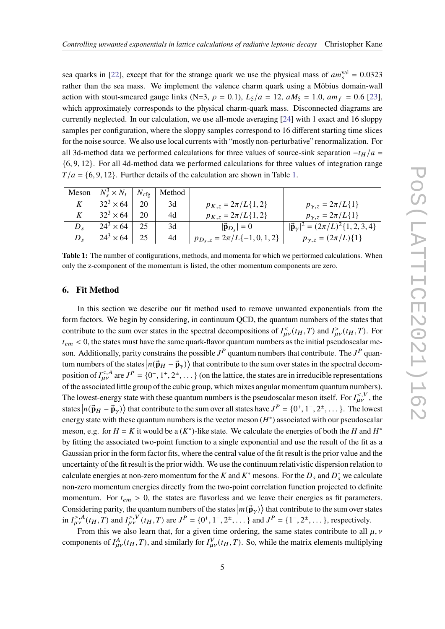sea quarks in [\[22\]](#page-9-4), except that for the strange quark we use the physical mass of  $am_s^{\text{val}} = 0.0323$ rather than the sea mass. We implement the valence charm quark using a Möbius domain-wall action with stout-smeared gauge links (N=3,  $\rho = 0.1$ ),  $L_5/a = 12$ ,  $aM_5 = 1.0$ ,  $am_f = 0.6$  [\[23\]](#page-9-5), which approximately corresponds to the physical charm-quark mass. Disconnected diagrams are currently neglected. In our calculation, we use all-mode averaging [\[24\]](#page-9-6) with 1 exact and 16 sloppy samples per configuration, where the sloppy samples correspond to 16 different starting time slices for the noise source. We also use local currents with "mostly non-perturbative" renormalization. For all 3d-method data we performed calculations for three values of source-sink separation  $-t_H/a =$ {6, 9, 12}. For all 4d-method data we performed calculations for three values of integration range  $T/a = \{6, 9, 12\}$ . Further details of the calculation are shown in Table [1.](#page-4-1)

<span id="page-4-1"></span>

|         | Meson $N_s^3 \times N_t$   $N_{\text{cfg}}$ |    | Method |                                  |                                                             |
|---------|---------------------------------------------|----|--------|----------------------------------|-------------------------------------------------------------|
| K       | $32^3 \times 64$                            | 20 | 3d     | $p_{K,z} = 2\pi/L\{1,2\}$        | $p_{\gamma,z} = 2\pi/L\{1\}$                                |
|         | $32^3 \times 64$                            | 20 | 4d     | $p_{K,z} = 2\pi/L\{1,2\}$        | $p_{\gamma,z} = 2\pi/L\{1\}$                                |
| $D_{s}$ | $24^3 \times 64$                            | 25 | 3d     | $ \vec{\mathbf{p}}_{D_s} =0$     | $ \vec{\mathbf{p}}_{\gamma} ^2 = (2\pi/L)^2 \{1, 2, 3, 4\}$ |
| $D_{s}$ | $24^3 \times 64$                            | 25 | 4d     | $p_{D_s,z} = 2\pi/L\{-1,0,1,2\}$ | $p_{\gamma,z} = (2\pi/L)\{1\}$                              |

**Table 1:** The number of configurations, methods, and momenta for which we performed calculations. When only the z-component of the momentum is listed, the other momentum components are zero.

#### <span id="page-4-0"></span>**6. Fit Method**

In this section we describe our fit method used to remove unwanted exponentials from the form factors. We begin by considering, in continuum QCD, the quantum numbers of the states that contribute to the sum over states in the spectral decompositions of  $I_{\mu\nu}^<(t_H, T)$  and  $I_{\mu\nu}^>(t_H, T)$ . For  $t_{em}$  < 0, the states must have the same quark-flavor quantum numbers as the initial pseudoscalar meson. Additionally, parity constrains the possible  $J^P$  quantum numbers that contribute. The  $J^P$  quantum numbers of the states  $|n(\vec{p}_H - \vec{p}_\gamma)\rangle$  that contribute to the sum over states in the spectral decomposition of  $I_{\mu\nu}^{<,A}$  are  $J^P = \{0^-, 1^+, 2^+, \dots\}$  (on the lattice, the states are in irreducible representations of the associated little group of the cubic group, which mixes angular momentum quantum numbers). The lowest-energy state with these quantum numbers is the pseudoscalar meson itself. For  $I_{\mu\nu}^{<,V}$ , the states  $|n(\vec{\mathbf{p}}_H - \vec{\mathbf{p}}_\gamma)\rangle$  that contribute to the sum over all states have  $J^P = \{0^+, 1^-, 2^+, \dots\}$ . The lowest energy state with these quantum numbers is the vector meson  $(H^*)$  associated with our pseudoscalar meson, e.g. for  $H = K$  it would be a  $(K^*)$ -like state. We calculate the energies of both the H and  $H^*$ by fitting the associated two-point function to a single exponential and use the result of the fit as a Gaussian prior in the form factor fits, where the central value of the fit result is the prior value and the uncertainty of the fit result is the prior width. We use the continuum relativistic dispersion relation to calculate energies at non-zero momentum for the K and K<sup>\*</sup> mesons. For the  $D_s$  and  $D_s^*$  we calculate non-zero momentum energies directly from the two-point correlation function projected to definite momentum. For  $t_{em} > 0$ , the states are flavorless and we leave their energies as fit parameters. Considering parity, the quantum numbers of the states  $|m(\vec{p}_\gamma)\rangle$  that contribute to the sum over states in  $I_{\mu\nu}^{>,A}(t_H, T)$  and  $I_{\mu\nu}^{>,V}(t_H, T)$  are  $J^P = \{0^+, 1^-, 2^+, \ldots\}$  and  $J^P = \{1^-, 2^+, \ldots\}$ , respectively.

From this we also learn that, for a given time ordering, the same states contribute to all  $\mu$ ,  $\nu$ components of  $I_{\mu\nu}^A(t_H, T)$ , and similarly for  $I_{\mu\nu}^V(t_H, T)$ . So, while the matrix elements multiplying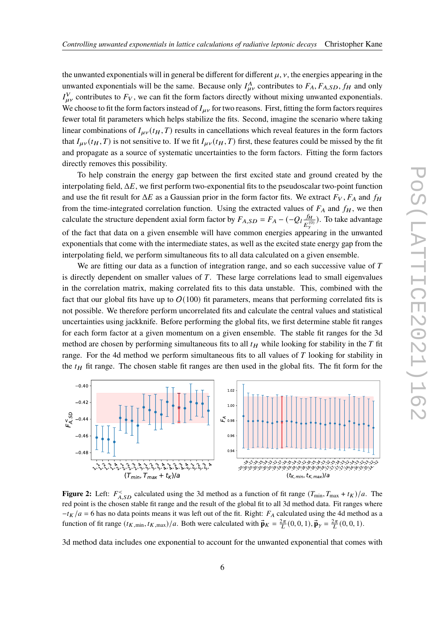the unwanted exponentials will in general be different for different  $\mu$ ,  $\nu$ , the energies appearing in the unwanted exponentials will be the same. Because only  $I_{\mu\nu}^{A}$  contributes to  $F_A$ ,  $F_{A,SD}$ ,  $f_H$  and only  $I_{\mu\nu}^V$  contributes to  $F_V$ , we can fit the form factors directly without mixing unwanted exponentials. We choose to fit the form factors instead of  $I_{\mu\nu}$  for two reasons. First, fitting the form factors requires fewer total fit parameters which helps stabilize the fits. Second, imagine the scenario where taking linear combinations of  $I_{\mu\nu}(t_H, T)$  results in cancellations which reveal features in the form factors that  $I_{\mu\nu}(t_H, T)$  is not sensitive to. If we fit  $I_{\mu\nu}(t_H, T)$  first, these features could be missed by the fit and propagate as a source of systematic uncertainties to the form factors. Fitting the form factors directly removes this possibility.

To help constrain the energy gap between the first excited state and ground created by the interpolating field,  $\Delta E$ , we first perform two-exponential fits to the pseudoscalar two-point function and use the fit result for  $\Delta E$  as a Gaussian prior in the form factor fits. We extract  $F_V$ ,  $F_A$  and  $f_H$ from the time-integrated correlation function. Using the extracted values of  $F_A$  and  $f_H$ , we then calculate the structure dependent axial form factor by  $F_{A,SD} = F_A - (-Q_I \frac{f_H}{R})$  $\frac{JH}{E_{\gamma}^{(0)}}$ ). To take advantage of the fact that data on a given ensemble will have common energies appearing in the unwanted exponentials that come with the intermediate states, as well as the excited state energy gap from the interpolating field, we perform simultaneous fits to all data calculated on a given ensemble.

We are fitting our data as a function of integration range, and so each successive value of  $T$ is directly dependent on smaller values of  $T$ . These large correlations lead to small eigenvalues in the correlation matrix, making correlated fits to this data unstable. This, combined with the fact that our global fits have up to  $O(100)$  fit parameters, means that performing correlated fits is not possible. We therefore perform uncorrelated fits and calculate the central values and statistical uncertainties using jackknife. Before performing the global fits, we first determine stable fit ranges for each form factor at a given momentum on a given ensemble. The stable fit ranges for the 3d method are chosen by performing simultaneous fits to all  $t_H$  while looking for stability in the  $T$  fit range. For the 4d method we perform simultaneous fits to all values of  $T$  looking for stability in the  $t_H$  fit range. The chosen stable fit ranges are then used in the global fits. The fit form for the

<span id="page-5-0"></span>

**Figure 2:** Left:  $F_{A, SD}^{\lt}$  calculated using the 3d method as a function of fit range  $(T_{min}, T_{max} + t_K)/a$ . The red point is the chosen stable fit range and the result of the global fit to all 3d method data. Fit ranges where  $-t_K/a = 6$  has no data points means it was left out of the fit. Right:  $F_A$  calculated using the 4d method as a function of fit range  $(t_{K,\min}, t_{K,\max})/a$ . Both were calculated with  $\vec{\mathbf{p}}_K = \frac{2\pi}{L}(0,0,1)$ ,  $\vec{\mathbf{p}}_Y = \frac{2\pi}{L}(0,0,1)$ .

3d method data includes one exponential to account for the unwanted exponential that comes with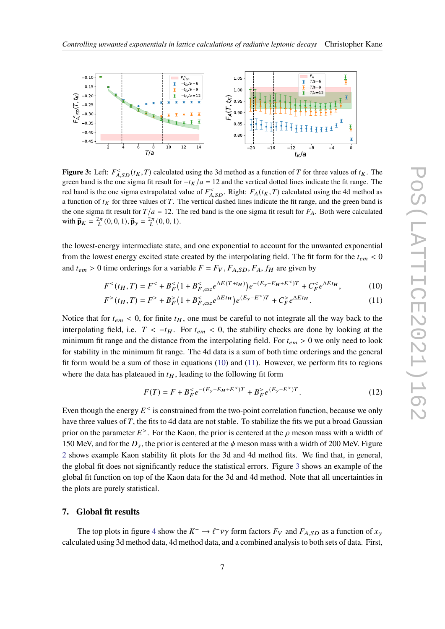<span id="page-6-2"></span>

**Figure 3:** Left:  $F_{A,SD}^{\lt}(t_K, T)$  calculated using the 3d method as a function of T for three values of  $t_K$ . The green band is the one sigma fit result for  $-t_K/a = 12$  and the vertical dotted lines indicate the fit range. The red band is the one sigma extrapolated value of  $F_{A,SD}^<$ . Right:  $F_A(t_K, T)$  calculated using the 4d method as a function of  $t_K$  for three values of T. The vertical dashed lines indicate the fit range, and the green band is the one sigma fit result for  $T/a = 12$ . The red band is the one sigma fit result for  $F_A$ . Both were calculated with  $\vec{\mathbf{p}}_K = \frac{2\pi}{L}(0, 0, 1), \vec{\mathbf{p}}_{\gamma} = \frac{2\pi}{L}(0, 0, 1).$ 

the lowest-energy intermediate state, and one exponential to account for the unwanted exponential from the lowest energy excited state created by the interpolating field. The fit form for the  $t_{em}$  < 0 and  $t_{em} > 0$  time orderings for a variable  $F = F_V$ ,  $F_{A,SD}$ ,  $F_A$ ,  $f_H$  are given by

$$
F^{<}(t_{H}, T) = F^{<} + B_{F}^{<}(1 + B_{F, \text{exc}}^{<} e^{\Delta E(T + t_{H})})e^{-(E_{\gamma} - E_{H} + E^{<})T} + C_{F}^{<} e^{\Delta E t_{H}}, \tag{10}
$$

$$
F^{>}(t_{H}, T) = F^{>} + B_{F}^{>}(1 + B_{F, \text{exc}}^{<} e^{\Delta E t_{H}}) e^{(E_{\gamma} - E^{>})T} + C_{F}^{>} e^{\Delta E t_{H}}.
$$
\n(11)

Notice that for  $t_{em}$  < 0, for finite  $t_H$ , one must be careful to not integrate all the way back to the interpolating field, i.e.  $T < -t_H$ . For  $t_{em} < 0$ , the stability checks are done by looking at the minimum fit range and the distance from the interpolating field. For  $t_{em} > 0$  we only need to look for stability in the minimum fit range. The 4d data is a sum of both time orderings and the general fit form would be a sum of those in equations [\(10\)](#page-6-0) and [\(11\)](#page-6-1). However, we perform fits to regions where the data has plateaued in  $t_H$ , leading to the following fit form

<span id="page-6-1"></span><span id="page-6-0"></span>
$$
F(T) = F + B_F^{\lt} e^{-(E_\gamma - E_H + E^{\lt} )T} + B_F^{\gt} e^{(E_\gamma - E^{\gt})T}.
$$
\n(12)

Even though the energy  $E^{\texttt{<}$  is constrained from the two-point correlation function, because we only have three values of  $T$ , the fits to 4d data are not stable. To stabilize the fits we put a broad Gaussian prior on the parameter  $E^>$ . For the Kaon, the prior is centered at the  $\rho$  meson mass with a width of 150 MeV, and for the  $D_s$ , the prior is centered at the  $\phi$  meson mass with a width of 200 MeV. Figure [2](#page-5-0) shows example Kaon stability fit plots for the 3d and 4d method fits. We find that, in general, the global fit does not significantly reduce the statistical errors. Figure [3](#page-6-2) shows an example of the global fit function on top of the Kaon data for the 3d and 4d method. Note that all uncertainties in the plots are purely statistical.

#### **7. Global fit results**

The top plots in figure [4](#page-7-0) show the  $K^- \to \ell^- \bar{\nu} \gamma$  form factors  $F_V$  and  $F_{A,SD}$  as a function of  $x_{\gamma}$ calculated using 3d method data, 4d method data, and a combined analysis to both sets of data. First,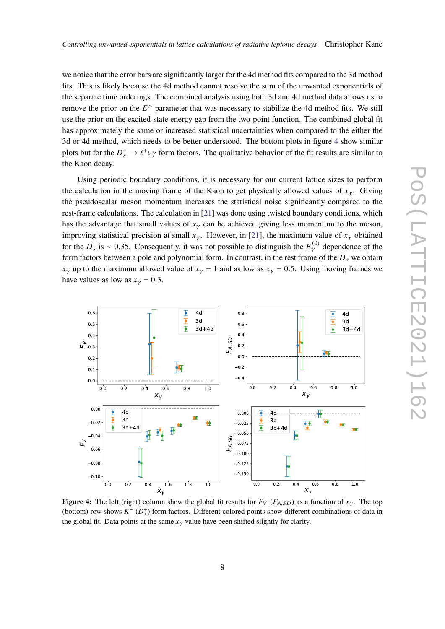we notice that the error bars are significantly larger for the 4d method fits compared to the 3d method fits. This is likely because the 4d method cannot resolve the sum of the unwanted exponentials of the separate time orderings. The combined analysis using both 3d and 4d method data allows us to remove the prior on the  $E^>$  parameter that was necessary to stabilize the 4d method fits. We still use the prior on the excited-state energy gap from the two-point function. The combined global fit has approximately the same or increased statistical uncertainties when compared to the either the 3d or 4d method, which needs to be better understood. The bottom plots in figure [4](#page-7-0) show similar plots but for the  $D_s^+ \to \ell^+ \nu \gamma$  form factors. The qualitative behavior of the fit results are similar to the Kaon decay.

Using periodic boundary conditions, it is necessary for our current lattice sizes to perform the calculation in the moving frame of the Kaon to get physically allowed values of  $x_{\gamma}$ . Giving the pseudoscalar meson momentum increases the statistical noise significantly compared to the rest-frame calculations. The calculation in [\[21\]](#page-9-2) was done using twisted boundary conditions, which has the advantage that small values of  $x_{\gamma}$  can be achieved giving less momentum to the meson, improving statistical precision at small  $x_{\gamma}$ . However, in [\[21\]](#page-9-2), the maximum value of  $x_{\gamma}$  obtained for the  $D_s$  is ~ 0.35. Consequently, it was not possible to distinguish the  $E_{\gamma}^{(0)}$  dependence of the form factors between a pole and polynomial form. In contrast, in the rest frame of the  $D_s$  we obtain  $x_{\gamma}$  up to the maximum allowed value of  $x_{\gamma} = 1$  and as low as  $x_{\gamma} = 0.5$ . Using moving frames we have values as low as  $x_{\gamma} = 0.3$ .

<span id="page-7-0"></span>

**Figure 4:** The left (right) column show the global fit results for  $F_V$  ( $F_{A,SD}$ ) as a function of  $x_\gamma$ . The top (bottom) row shows  $K^-(D_s^+)$  form factors. Different colored points show different combinations of data in the global fit. Data points at the same  $x_{\gamma}$  value have been shifted slightly for clarity.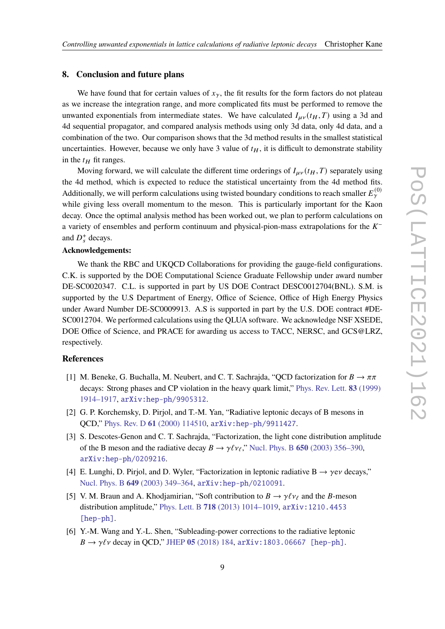#### **8. Conclusion and future plans**

We have found that for certain values of  $x_{\gamma}$ , the fit results for the form factors do not plateau as we increase the integration range, and more complicated fits must be performed to remove the unwanted exponentials from intermediate states. We have calculated  $I_{\mu\nu}(t_H, T)$  using a 3d and 4d sequential propagator, and compared analysis methods using only 3d data, only 4d data, and a combination of the two. Our comparison shows that the 3d method results in the smallest statistical uncertainties. However, because we only have 3 value of  $t_H$ , it is difficult to demonstrate stability in the  $t_H$  fit ranges.

Moving forward, we will calculate the different time orderings of  $I_{\mu\nu}(t_H, T)$  separately using the 4d method, which is expected to reduce the statistical uncertainty from the 4d method fits. Additionally, we will perform calculations using twisted boundary conditions to reach smaller  $E_{\gamma}^{(0)}$ while giving less overall momentum to the meson. This is particularly important for the Kaon decay. Once the optimal analysis method has been worked out, we plan to perform calculations on a variety of ensembles and perform continuum and physical-pion-mass extrapolations for the  $K^$ and  $D_s^+$  decays.

#### **Acknowledgements:**

We thank the RBC and UKQCD Collaborations for providing the gauge-field configurations. C.K. is supported by the DOE Computational Science Graduate Fellowship under award number DE-SC0020347. C.L. is supported in part by US DOE Contract DESC0012704(BNL). S.M. is supported by the U.S Department of Energy, Office of Science, Office of High Energy Physics under Award Number DE-SC0009913. A.S is supported in part by the U.S. DOE contract #DE-SC0012704. We performed calculations using the QLUA software. We acknowledge NSF XSEDE, DOE Office of Science, and PRACE for awarding us access to TACC, NERSC, and GCS@LRZ, respectively.

### **References**

- <span id="page-8-0"></span>[1] M. Beneke, G. Buchalla, M. Neubert, and C. T. Sachrajda, "QCD factorization for  $B \to \pi \pi$ decays: Strong phases and CP violation in the heavy quark limit," [Phys. Rev. Lett.](http://dx.doi.org/10.1103/PhysRevLett.83.1914) **83** (1999) [1914–1917,](http://dx.doi.org/10.1103/PhysRevLett.83.1914) [arXiv:hep-ph/9905312](http://arxiv.org/abs/hep-ph/9905312).
- [2] G. P. Korchemsky, D. Pirjol, and T.-M. Yan, "Radiative leptonic decays of B mesons in QCD," Phys. Rev. D **61** [\(2000\) 114510,](http://dx.doi.org/10.1103/PhysRevD.61.114510) [arXiv:hep-ph/9911427](http://arxiv.org/abs/hep-ph/9911427).
- [3] S. Descotes-Genon and C. T. Sachrajda, "Factorization, the light cone distribution amplitude of the B meson and the radiative decay  $B \to \gamma \ell \nu_{\ell}$ ," Nucl. Phys. B **650** [\(2003\) 356–390,](http://dx.doi.org/10.1016/S0550-3213(02)01066-0) [arXiv:hep-ph/0209216](http://arxiv.org/abs/hep-ph/0209216).
- [4] E. Lunghi, D. Pirjol, and D. Wyler, "Factorization in leptonic radiative  $B \rightarrow \gamma e \nu$  decays," Nucl. Phys. B **649** [\(2003\) 349–364,](http://dx.doi.org/10.1016/S0550-3213(02)01032-5) [arXiv:hep-ph/0210091](http://arxiv.org/abs/hep-ph/0210091).
- [5] V. M. Braun and A. Khodiamirian, "Soft contribution to  $B \to \gamma \ell \gamma_{\ell}$  and the B-meson distribution amplitude," Phys. Lett. B **718** [\(2013\) 1014–1019,](http://dx.doi.org/10.1016/j.physletb.2012.11.047) [arXiv:1210.4453](http://arxiv.org/abs/1210.4453) [\[hep-ph\]](http://arxiv.org/abs/1210.4453).
- [6] Y.-M. Wang and Y.-L. Shen, "Subleading-power corrections to the radiative leptonic  $B \to \gamma \ell \nu$  decay in QCD," JHEP **05** [\(2018\) 184,](http://dx.doi.org/10.1007/JHEP05(2018)184) [arXiv:1803.06667 \[hep-ph\]](http://arxiv.org/abs/1803.06667).